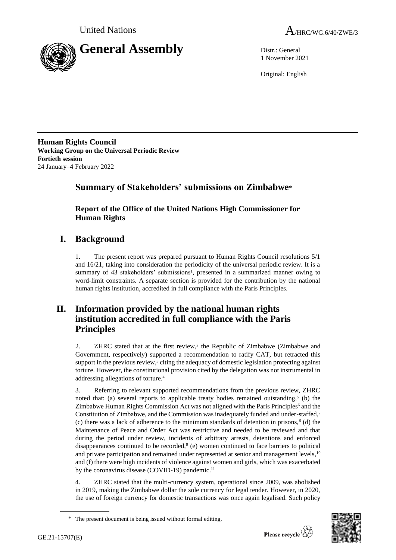



1 November 2021

Original: English

**Human Rights Council Working Group on the Universal Periodic Review Fortieth session** 24 January–4 February 2022

# **Summary of Stakeholders' submissions on Zimbabwe**\*

**Report of the Office of the United Nations High Commissioner for Human Rights**

# **I. Background**

1. The present report was prepared pursuant to Human Rights Council resolutions 5/1 and 16/21, taking into consideration the periodicity of the universal periodic review. It is a summary of 43 stakeholders' submissions<sup>1</sup>, presented in a summarized manner owing to word-limit constraints. A separate section is provided for the contribution by the national human rights institution, accredited in full compliance with the Paris Principles.

# **II. Information provided by the national human rights institution accredited in full compliance with the Paris Principles**

2. ZHRC stated that at the first review,<sup>2</sup> the Republic of Zimbabwe (Zimbabwe and Government, respectively) supported a recommendation to ratify CAT, but retracted this support in the previous review, $3$  citing the adequacy of domestic legislation protecting against torture. However, the constitutional provision cited by the delegation was not instrumental in addressing allegations of torture.<sup>4</sup>

3. Referring to relevant supported recommendations from the previous review, ZHRC noted that: (a) several reports to applicable treaty bodies remained outstanding,<sup>5</sup> (b) the Zimbabwe Human Rights Commission Act was not aligned with the Paris Principles<sup>6</sup> and the Constitution of Zimbabwe, and the Commission was inadequately funded and under-staffed,<sup>7</sup> (c) there was a lack of adherence to the minimum standards of detention in prisons, $8$  (d) the Maintenance of Peace and Order Act was restrictive and needed to be reviewed and that during the period under review, incidents of arbitrary arrests, detentions and enforced disappearances continued to be recorded,  $9$  (e) women continued to face barriers to political and private participation and remained under represented at senior and management levels,  $^{10}$ and (f) there were high incidents of violence against women and girls, which was exacerbated by the coronavirus disease (COVID-19) pandemic.<sup>11</sup>

4. ZHRC stated that the multi-currency system, operational since 2009, was abolished in 2019, making the Zimbabwe dollar the sole currency for legal tender. However, in 2020, the use of foreign currency for domestic transactions was once again legalised. Such policy



<sup>\*</sup> The present document is being issued without formal editing.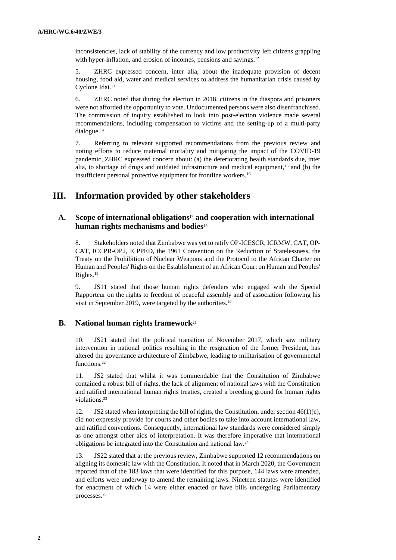inconsistencies, lack of stability of the currency and low productivity left citizens grappling with hyper-inflation, and erosion of incomes, pensions and savings.<sup>12</sup>

5. ZHRC expressed concern, inter alia, about the inadequate provision of decent housing, food aid, water and medical services to address the humanitarian crisis caused by Cyclone Idai. 13

6. ZHRC noted that during the election in 2018, citizens in the diaspora and prisoners were not afforded the opportunity to vote. Undocumented persons were also disenfranchised. The commission of inquiry established to look into post-election violence made several recommendations, including compensation to victims and the setting-up of a multi-party dialogue.<sup>14</sup>

7. Referring to relevant supported recommendations from the previous review and noting efforts to reduce maternal mortality and mitigating the impact of the COVID-19 pandemic, ZHRC expressed concern about: (a) the deteriorating health standards due, inter alia, to shortage of drugs and outdated infrastructure and medical equipment,<sup>15</sup> and (b) the insufficient personal protective equipment for frontline workers.<sup>16</sup>

# **III. Information provided by other stakeholders**

## **A. Scope of international obligations**<sup>17</sup> **and cooperation with international human rights mechanisms and bodies**<sup>18</sup>

8. Stakeholders noted that Zimbabwe was yet to ratify OP-ICESCR, ICRMW, CAT, OP-CAT, ICCPR-OP2, ICPPED, the 1961 Convention on the Reduction of Statelessness, the Treaty on the Prohibition of Nuclear Weapons and the Protocol to the African Charter on Human and Peoples' Rights on the Establishment of an African Court on Human and Peoples' Rights. 19

9. JS11 stated that those human rights defenders who engaged with the Special Rapporteur on the rights to freedom of peaceful assembly and of association following his visit in September 2019, were targeted by the authorities.<sup>20</sup>

## **B. National human rights framework**<sup>21</sup>

10. JS21 stated that the political transition of November 2017, which saw military intervention in national politics resulting in the resignation of the former President, has altered the governance architecture of Zimbabwe, leading to militarisation of governmental functions.<sup>22</sup>

11. JS2 stated that whilst it was commendable that the Constitution of Zimbabwe contained a robust bill of rights, the lack of alignment of national laws with the Constitution and ratified international human rights treaties, created a breeding ground for human rights violations.<sup>23</sup>

12. JS2 stated when interpreting the bill of rights, the Constitution, under section  $46(1)(c)$ , did not expressly provide for courts and other bodies to take into account international law, and ratified conventions. Consequently, international law standards were considered simply as one amongst other aids of interpretation. It was therefore imperative that international obligations be integrated into the Constitution and national law.<sup>24</sup>

13. JS22 stated that at the previous review, Zimbabwe supported 12 recommendations on aligning its domestic law with the Constitution. It noted that in March 2020, the Government reported that of the 183 laws that were identified for this purpose, 144 laws were amended, and efforts were underway to amend the remaining laws. Nineteen statutes were identified for enactment of which 14 were either enacted or have bills undergoing Parliamentary processes.25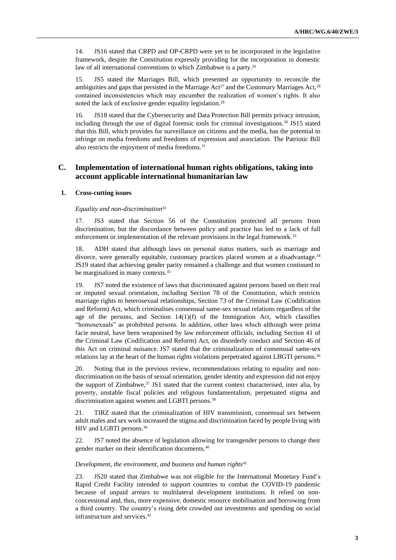14. JS16 stated that CRPD and OP-CRPD were yet to be incorporated in the legislative framework, despite the Constitution expressly providing for the incorporation in domestic law of all international conventions to which Zimbabwe is a party.<sup>26</sup>

15. JS5 stated the Marriages Bill, which presented an opportunity to reconcile the ambiguities and gaps that persisted in the Marriage  $Act^{27}$  and the Customary Marriages Act,<sup>28</sup> contained inconsistencies which may encumber the realization of women's rights. It also noted the lack of exclusive gender equality legislation.<sup>29</sup>

16. JS18 stated that the Cybersecurity and Data Protection Bill permits privacy intrusion, including through the use of digital forensic tools for criminal investigations.<sup>30</sup> JS15 stated that this Bill, which provides for surveillance on citizens and the media, has the potential to infringe on media freedoms and freedoms of expression and association. The Patriotic Bill also restricts the enjoyment of media freedoms.<sup>31</sup>

## **C. Implementation of international human rights obligations, taking into account applicable international humanitarian law**

## **1. Cross-cutting issues**

#### *Equality and non-discrimination*<sup>32</sup>

17. JS3 stated that Section 56 of the Constitution protected all persons from discrimination, but the discordance between policy and practice has led to a lack of full enforcement or implementation of the relevant provisions in the legal framework.<sup>33</sup>

18. ADH stated that although laws on personal status matters, such as marriage and divorce, were generally equitable, customary practices placed women at a disadvantage.<sup>34</sup> JS19 stated that achieving gender parity remained a challenge and that women continued to be marginalized in many contexts.<sup>35</sup>

19. JS7 noted the existence of laws that discriminated against persons based on their real or imputed sexual orientation, including Section 78 of the Constitution, which restricts marriage rights to heterosexual relationships, Section 73 of the Criminal Law (Codification and Reform) Act, which criminalises consensual same-sex sexual relations regardless of the age of the persons, and Section  $14(1)(f)$  of the Immigration Act, which classifies "homosexuals" as prohibited persons. In addition, other laws which although were prima facie neutral, have been weaponised by law enforcement officials, including Section 41 of the Criminal Law (Codification and Reform) Act, on disorderly conduct and Section 46 of this Act on criminal nuisance. JS7 stated that the criminalization of consensual same-sex relations lay at the heart of the human rights violations perpetrated against LBGTI persons.<sup>36</sup>

20. Noting that in the previous review, recommendations relating to equality and nondiscrimination on the basis of sexual orientation, gender identity and expression did not enjoy the support of Zimbabwe,<sup>37</sup> JS1 stated that the current context characterised, inter alia, by poverty, unstable fiscal policies and religious fundamentalism, perpetuated stigma and discrimination against women and LGBTI persons.<sup>38</sup>

21. TIRZ stated that the criminalization of HIV transmission, consensual sex between adult males and sex work increased the stigma and discrimination faced by people living with HIV and LGBTI persons.<sup>39</sup>

22. JS7 noted the absence of legislation allowing for transgender persons to change their gender marker on their identification documents.<sup>40</sup>

#### *Development, the environment, and business and human rights*<sup>41</sup>

23. JS20 stated that Zimbabwe was not eligible for the International Monetary Fund's Rapid Credit Facility intended to support countries to combat the COVID-19 pandemic because of unpaid arrears to multilateral development institutions. It relied on nonconcessional and, thus, more expensive, domestic resource mobilisation and borrowing from a third country. The country's rising debt crowded out investments and spending on social infrastructure and services.42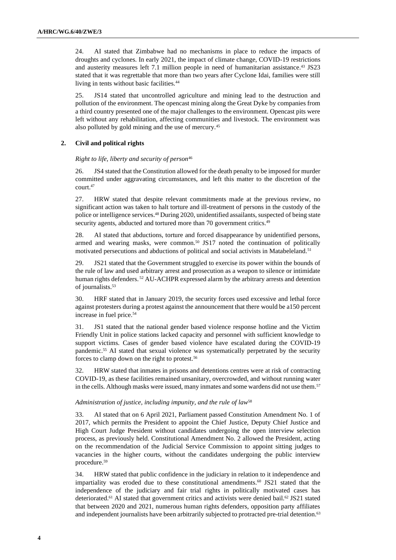24. AI stated that Zimbabwe had no mechanisms in place to reduce the impacts of droughts and cyclones. In early 2021, the impact of climate change, COVID-19 restrictions and austerity measures left 7.1 million people in need of humanitarian assistance.<sup>43</sup> JS23 stated that it was regrettable that more than two years after Cyclone Idai, families were still living in tents without basic facilities.<sup>44</sup>

25. JS14 stated that uncontrolled agriculture and mining lead to the destruction and pollution of the environment. The opencast mining along the Great Dyke by companies from a third country presented one of the major challenges to the environment. Opencast pits were left without any rehabilitation, affecting communities and livestock. The environment was also polluted by gold mining and the use of mercury.<sup>45</sup>

## **2. Civil and political rights**

#### *Right to life, liberty and security of person*<sup>46</sup>

26. JS4 stated that the Constitution allowed for the death penalty to be imposed for murder committed under aggravating circumstances, and left this matter to the discretion of the court.<sup>47</sup>

27. HRW stated that despite relevant commitments made at the previous review, no significant action was taken to halt torture and ill-treatment of persons in the custody of the police or intelligence services.<sup>48</sup> During 2020, unidentified assailants, suspected of being state security agents, abducted and tortured more than 70 government critics.<sup>49</sup>

28. AI stated that abductions, torture and forced disappearance by unidentified persons, armed and wearing masks, were common.<sup>50</sup> JS17 noted the continuation of politically motivated persecutions and abductions of political and social activists in Matabeleland.<sup>51</sup>

29. JS21 stated that the Government struggled to exercise its power within the bounds of the rule of law and used arbitrary arrest and prosecution as a weapon to silence or intimidate human rights defenders.<sup>52</sup> AU-ACHPR expressed alarm by the arbitrary arrests and detention of journalists. 53

30. HRF stated that in January 2019, the security forces used excessive and lethal force against protesters during a protest against the announcement that there would be a150 percent increase in fuel price.<sup>54</sup>

31. JS1 stated that the national gender based violence response hotline and the Victim Friendly Unit in police stations lacked capacity and personnel with sufficient knowledge to support victims. Cases of gender based violence have escalated during the COVID-19 pandemic. <sup>55</sup> AI stated that sexual violence was systematically perpetrated by the security forces to clamp down on the right to protest.<sup>56</sup>

32. HRW stated that inmates in prisons and detentions centres were at risk of contracting COVID-19, as these facilities remained unsanitary, overcrowded, and without running water in the cells. Although masks were issued, many inmates and some wardens did not use them.<sup>57</sup>

#### *Administration of justice, including impunity, and the rule of law*<sup>58</sup>

33. AI stated that on 6 April 2021, Parliament passed Constitution Amendment No. 1 of 2017, which permits the President to appoint the Chief Justice, Deputy Chief Justice and High Court Judge President without candidates undergoing the open interview selection process, as previously held. Constitutional Amendment No. 2 allowed the President, acting on the recommendation of the Judicial Service Commission to appoint sitting judges to vacancies in the higher courts, without the candidates undergoing the public interview procedure.<sup>59</sup>

34. HRW stated that public confidence in the judiciary in relation to it independence and impartiality was eroded due to these constitutional amendments.<sup>60</sup> JS21 stated that the independence of the judiciary and fair trial rights in politically motivated cases has deteriorated.<sup>61</sup> AI stated that government critics and activists were denied bail.<sup>62</sup> JS21 stated that between 2020 and 2021, numerous human rights defenders, opposition party affiliates and independent journalists have been arbitrarily subjected to protracted pre-trial detention.<sup>63</sup>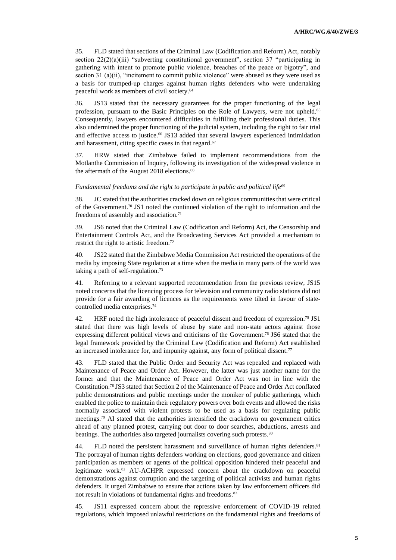35. FLD stated that sections of the Criminal Law (Codification and Reform) Act, notably section  $22(2)(a)(iii)$  "subverting constitutional government", section 37 "participating in gathering with intent to promote public violence, breaches of the peace or bigotry", and section 31 (a)(ii), "incitement to commit public violence" were abused as they were used as a basis for trumped-up charges against human rights defenders who were undertaking peaceful work as members of civil society.<sup>64</sup>

36. JS13 stated that the necessary guarantees for the proper functioning of the legal profession, pursuant to the Basic Principles on the Role of Lawyers, were not upheld.<sup>65</sup> Consequently, lawyers encountered difficulties in fulfilling their professional duties. This also undermined the proper functioning of the judicial system, including the right to fair trial and effective access to justice.<sup>66</sup> JS13 added that several lawyers experienced intimidation and harassment, citing specific cases in that regard. 67

37. HRW stated that Zimbabwe failed to implement recommendations from the Motlanthe Commission of Inquiry, following its investigation of the widespread violence in the aftermath of the August 2018 elections.<sup>68</sup>

## Fundamental freedoms and the right to participate in public and political life<sup>69</sup>

38. JC stated that the authorities cracked down on religious communities that were critical of the Government.<sup>70</sup> JS1 noted the continued violation of the right to information and the freedoms of assembly and association.<sup>71</sup>

39. JS6 noted that the Criminal Law (Codification and Reform) Act, the Censorship and Entertainment Controls Act, and the Broadcasting Services Act provided a mechanism to restrict the right to artistic freedom.<sup>72</sup>

40. JS22 stated that the Zimbabwe Media Commission Act restricted the operations of the media by imposing State regulation at a time when the media in many parts of the world was taking a path of self-regulation.<sup>73</sup>

41. Referring to a relevant supported recommendation from the previous review, JS15 noted concerns that the licencing process for television and community radio stations did not provide for a fair awarding of licences as the requirements were tilted in favour of statecontrolled media enterprises.<sup>74</sup>

42. HRF noted the high intolerance of peaceful dissent and freedom of expression.<sup>75</sup> JS1 stated that there was high levels of abuse by state and non-state actors against those expressing different political views and criticisms of the Government.<sup>76</sup> JS6 stated that the legal framework provided by the Criminal Law (Codification and Reform) Act established an increased intolerance for, and impunity against, any form of political dissent.<sup>77</sup>

43. FLD stated that the Public Order and Security Act was repealed and replaced with Maintenance of Peace and Order Act. However, the latter was just another name for the former and that the Maintenance of Peace and Order Act was not in line with the Constitution.<sup>78</sup> JS3 stated that Section 2 of the Maintenance of Peace and Order Act conflated public demonstrations and public meetings under the moniker of public gatherings, which enabled the police to maintain their regulatory powers over both events and allowed the risks normally associated with violent protests to be used as a basis for regulating public meetings.<sup>79</sup> AI stated that the authorities intensified the crackdown on government critics ahead of any planned protest, carrying out door to door searches, abductions, arrests and beatings. The authorities also targeted journalists covering such protests.<sup>80</sup>

44. FLD noted the persistent harassment and surveillance of human rights defenders.<sup>81</sup> The portrayal of human rights defenders working on elections, good governance and citizen participation as members or agents of the political opposition hindered their peaceful and legitimate work.<sup>82</sup> AU-ACHPR expressed concern about the crackdown on peaceful demonstrations against corruption and the targeting of political activists and human rights defenders. It urged Zimbabwe to ensure that actions taken by law enforcement officers did not result in violations of fundamental rights and freedoms.<sup>83</sup>

45. JS11 expressed concern about the repressive enforcement of COVID-19 related regulations, which imposed unlawful restrictions on the fundamental rights and freedoms of

**5**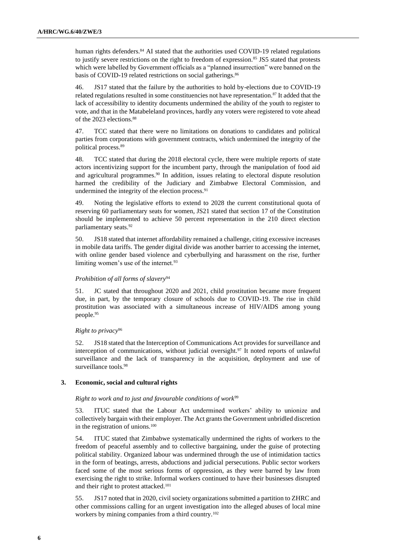human rights defenders.<sup>84</sup> AI stated that the authorities used COVID-19 related regulations to justify severe restrictions on the right to freedom of expression.<sup>85</sup> JS5 stated that protests which were labelled by Government officials as a "planned insurrection" were banned on the basis of COVID-19 related restrictions on social gatherings.<sup>86</sup>

46. JS17 stated that the failure by the authorities to hold by-elections due to COVID-19 related regulations resulted in some constituencies not have representation.<sup>87</sup> It added that the lack of accessibility to identity documents undermined the ability of the youth to register to vote, and that in the Matabeleland provinces, hardly any voters were registered to vote ahead of the 2023 elections.<sup>88</sup>

47. TCC stated that there were no limitations on donations to candidates and political parties from corporations with government contracts, which undermined the integrity of the political process.<sup>89</sup>

48. TCC stated that during the 2018 electoral cycle, there were multiple reports of state actors incentivizing support for the incumbent party, through the manipulation of food aid and agricultural programmes.<sup>90</sup> In addition, issues relating to electoral dispute resolution harmed the credibility of the Judiciary and Zimbabwe Electoral Commission, and undermined the integrity of the election process.<sup>91</sup>

49. Noting the legislative efforts to extend to 2028 the current constitutional quota of reserving 60 parliamentary seats for women, JS21 stated that section 17 of the Constitution should be implemented to achieve 50 percent representation in the 210 direct election parliamentary seats.<sup>92</sup>

50. JS18 stated that internet affordability remained a challenge, citing excessive increases in mobile data tariffs. The gender digital divide was another barrier to accessing the internet, with online gender based violence and cyberbullying and harassment on the rise, further limiting women's use of the internet.<sup>93</sup>

## *Prohibition of all forms of slavery*<sup>94</sup>

51. JC stated that throughout 2020 and 2021, child prostitution became more frequent due, in part, by the temporary closure of schools due to COVID-19. The rise in child prostitution was associated with a simultaneous increase of HIV/AIDS among young people.95

### *Right to privacy*<sup>96</sup>

52. JS18 stated that the Interception of Communications Act provides for surveillance and interception of communications, without judicial oversight.<sup>97</sup> It noted reports of unlawful surveillance and the lack of transparency in the acquisition, deployment and use of surveillance tools.<sup>98</sup>

### **3. Economic, social and cultural rights**

#### *Right to work and to just and favourable conditions of work*<sup>99</sup>

53. ITUC stated that the Labour Act undermined workers' ability to unionize and collectively bargain with their employer. The Act grants the Government unbridled discretion in the registration of unions.<sup>100</sup>

54. ITUC stated that Zimbabwe systematically undermined the rights of workers to the freedom of peaceful assembly and to collective bargaining, under the guise of protecting political stability. Organized labour was undermined through the use of intimidation tactics in the form of beatings, arrests, abductions and judicial persecutions. Public sector workers faced some of the most serious forms of oppression, as they were barred by law from exercising the right to strike. Informal workers continued to have their businesses disrupted and their right to protest attacked.<sup>101</sup>

55. JS17 noted that in 2020, civil society organizations submitted a partition to ZHRC and other commissions calling for an urgent investigation into the alleged abuses of local mine workers by mining companies from a third country.102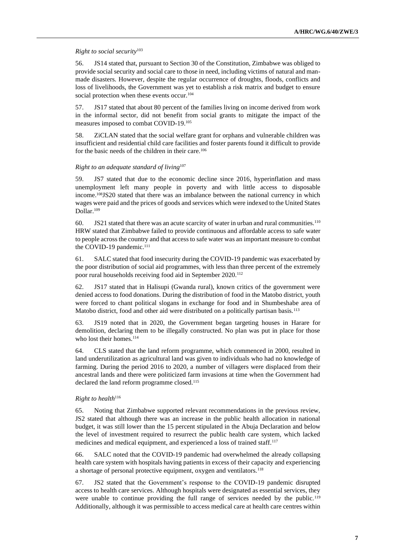## *Right to social security*<sup>103</sup>

56. JS14 stated that, pursuant to Section 30 of the Constitution, Zimbabwe was obliged to provide social security and social care to those in need, including victims of natural and manmade disasters. However, despite the regular occurrence of droughts, floods, conflicts and loss of livelihoods, the Government was yet to establish a risk matrix and budget to ensure social protection when these events occur.<sup>104</sup>

57. JS17 stated that about 80 percent of the families living on income derived from work in the informal sector, did not benefit from social grants to mitigate the impact of the measures imposed to combat COVID-19.<sup>105</sup>

58. ZiCLAN stated that the social welfare grant for orphans and vulnerable children was insufficient and residential child care facilities and foster parents found it difficult to provide for the basic needs of the children in their care.<sup>106</sup>

## *Right to an adequate standard of living*<sup>107</sup>

59. JS7 stated that due to the economic decline since 2016, hyperinflation and mass unemployment left many people in poverty and with little access to disposable income.108JS20 stated that there was an imbalance between the national currency in which wages were paid and the prices of goods and services which were indexed to the United States Dollar.<sup>109</sup>

60. JS21 stated that there was an acute scarcity of water in urban and rural communities.<sup>110</sup> HRW stated that Zimbabwe failed to provide continuous and affordable access to safe water to people across the country and that access to safe water was an important measure to combat the COVID-19 pandemic.<sup>111</sup>

61. SALC stated that food insecurity during the COVID-19 pandemic was exacerbated by the poor distribution of social aid programmes, with less than three percent of the extremely poor rural households receiving food aid in September 2020.<sup>112</sup>

62. JS17 stated that in Halisupi (Gwanda rural), known critics of the government were denied access to food donations. During the distribution of food in the Matobo district, youth were forced to chant political slogans in exchange for food and in Shumbeshabe area of Matobo district, food and other aid were distributed on a politically partisan basis.<sup>113</sup>

63. JS19 noted that in 2020, the Government began targeting houses in Harare for demolition, declaring them to be illegally constructed. No plan was put in place for those who lost their homes.<sup>114</sup>

64. CLS stated that the land reform programme, which commenced in 2000, resulted in land underutilization as agricultural land was given to individuals who had no knowledge of farming. During the period 2016 to 2020, a number of villagers were displaced from their ancestral lands and there were politicized farm invasions at time when the Government had declared the land reform programme closed.<sup>115</sup>

### *Right to health*<sup>116</sup>

65. Noting that Zimbabwe supported relevant recommendations in the previous review, JS2 stated that although there was an increase in the public health allocation in national budget, it was still lower than the 15 percent stipulated in the Abuja Declaration and below the level of investment required to resurrect the public health care system, which lacked medicines and medical equipment, and experienced a loss of trained staff.<sup>117</sup>

66. SALC noted that the COVID-19 pandemic had overwhelmed the already collapsing health care system with hospitals having patients in excess of their capacity and experiencing a shortage of personal protective equipment, oxygen and ventilators.<sup>118</sup>

67. JS2 stated that the Government's response to the COVID-19 pandemic disrupted access to health care services. Although hospitals were designated as essential services, they were unable to continue providing the full range of services needed by the public.<sup>119</sup> Additionally, although it was permissible to access medical care at health care centres within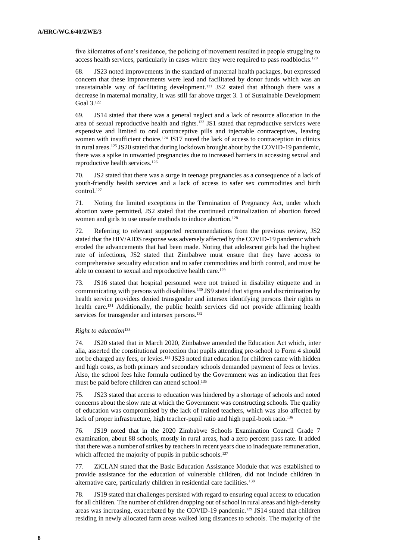five kilometres of one's residence, the policing of movement resulted in people struggling to access health services, particularly in cases where they were required to pass roadblocks.<sup>120</sup>

68. JS23 noted improvements in the standard of maternal health packages, but expressed concern that these improvements were lead and facilitated by donor funds which was an unsustainable way of facilitating development.<sup>121</sup> JS2 stated that although there was a decrease in maternal mortality, it was still far above target 3. 1 of Sustainable Development Goal 3.<sup>122</sup>

69. JS14 stated that there was a general neglect and a lack of resource allocation in the area of sexual reproductive health and rights.<sup>123</sup> JS1 stated that reproductive services were expensive and limited to oral contraceptive pills and injectable contraceptives, leaving women with insufficient choice.<sup>124</sup> JS17 noted the lack of access to contraception in clinics in rural areas.<sup>125</sup> JS20 stated that during lockdown brought about by the COVID-19 pandemic, there was a spike in unwanted pregnancies due to increased barriers in accessing sexual and reproductive health services.<sup>126</sup>

70. JS2 stated that there was a surge in teenage pregnancies as a consequence of a lack of youth-friendly health services and a lack of access to safer sex commodities and birth control.<sup>127</sup>

71. Noting the limited exceptions in the Termination of Pregnancy Act, under which abortion were permitted, JS2 stated that the continued criminalization of abortion forced women and girls to use unsafe methods to induce abortion.<sup>128</sup>

72. Referring to relevant supported recommendations from the previous review, JS2 stated that the HIV/AIDS response was adversely affected by the COVID-19 pandemic which eroded the advancements that had been made. Noting that adolescent girls had the highest rate of infections, JS2 stated that Zimbabwe must ensure that they have access to comprehensive sexuality education and to safer commodities and birth control, and must be able to consent to sexual and reproductive health care.<sup>129</sup>

73. JS16 stated that hospital personnel were not trained in disability etiquette and in communicating with persons with disabilities.<sup>130</sup> JS9 stated that stigma and discrimination by health service providers denied transgender and intersex identifying persons their rights to health care.<sup>131</sup> Additionally, the public health services did not provide affirming health services for transgender and intersex persons.<sup>132</sup>

### *Right to education*<sup>133</sup>

74. JS20 stated that in March 2020, Zimbabwe amended the Education Act which, inter alia, asserted the constitutional protection that pupils attending pre-school to Form 4 should not be charged any fees, or levies.<sup>134</sup> JS23 noted that education for children came with hidden and high costs, as both primary and secondary schools demanded payment of fees or levies. Also, the school fees hike formula outlined by the Government was an indication that fees must be paid before children can attend school.<sup>135</sup>

75. JS23 stated that access to education was hindered by a shortage of schools and noted concerns about the slow rate at which the Government was constructing schools. The quality of education was compromised by the lack of trained teachers, which was also affected by lack of proper infrastructure, high teacher-pupil ratio and high pupil-book ratio.<sup>136</sup>

76. JS19 noted that in the 2020 Zimbabwe Schools Examination Council Grade 7 examination, about 88 schools, mostly in rural areas, had a zero percent pass rate. It added that there was a number of strikes by teachers in recent years due to inadequate remuneration, which affected the majority of pupils in public schools.<sup>137</sup>

77. ZiCLAN stated that the Basic Education Assistance Module that was established to provide assistance for the education of vulnerable children, did not include children in alternative care, particularly children in residential care facilities.<sup>138</sup>

78. JS19 stated that challenges persisted with regard to ensuring equal access to education for all children. The number of children dropping out of school in rural areas and high-density areas was increasing, exacerbated by the COVID-19 pandemic.<sup>139</sup> JS14 stated that children residing in newly allocated farm areas walked long distances to schools. The majority of the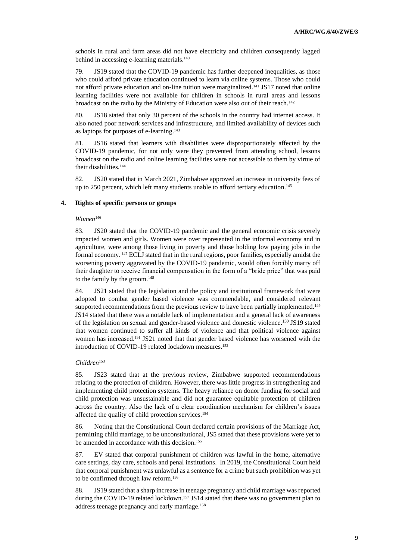schools in rural and farm areas did not have electricity and children consequently lagged behind in accessing e-learning materials.<sup>140</sup>

79. JS19 stated that the COVID-19 pandemic has further deepened inequalities, as those who could afford private education continued to learn via online systems. Those who could not afford private education and on-line tuition were marginalized.<sup>141</sup> JS17 noted that online learning facilities were not available for children in schools in rural areas and lessons broadcast on the radio by the Ministry of Education were also out of their reach.<sup>142</sup>

80. JS18 stated that only 30 percent of the schools in the country had internet access. It also noted poor network services and infrastructure, and limited availability of devices such as laptops for purposes of e-learning.<sup>143</sup>

81. JS16 stated that learners with disabilities were disproportionately affected by the COVID-19 pandemic, for not only were they prevented from attending school, lessons broadcast on the radio and online learning facilities were not accessible to them by virtue of their disabilities.<sup>144</sup>

82. JS20 stated that in March 2021, Zimbabwe approved an increase in university fees of up to 250 percent, which left many students unable to afford tertiary education.<sup>145</sup>

#### **4. Rights of specific persons or groups**

*Women*<sup>146</sup>

83. JS20 stated that the COVID-19 pandemic and the general economic crisis severely impacted women and girls. Women were over represented in the informal economy and in agriculture, were among those living in poverty and those holding low paying jobs in the formal economy. <sup>147</sup> ECLJ stated that in the rural regions, poor families, especially amidst the worsening poverty aggravated by the COVID-19 pandemic, would often forcibly marry off their daughter to receive financial compensation in the form of a "bride price" that was paid to the family by the groom.<sup>148</sup>

84. JS21 stated that the legislation and the policy and institutional framework that were adopted to combat gender based violence was commendable, and considered relevant supported recommendations from the previous review to have been partially implemented.<sup>149</sup> JS14 stated that there was a notable lack of implementation and a general lack of awareness of the legislation on sexual and gender-based violence and domestic violence.<sup>150</sup> JS19 stated that women continued to suffer all kinds of violence and that political violence against women has increased.<sup>151</sup> JS21 noted that that gender based violence has worsened with the introduction of COVID-19 related lockdown measures. 152

#### *Children*<sup>153</sup>

85. JS23 stated that at the previous review, Zimbabwe supported recommendations relating to the protection of children. However, there was little progress in strengthening and implementing child protection systems. The heavy reliance on donor funding for social and child protection was unsustainable and did not guarantee equitable protection of children across the country. Also the lack of a clear coordination mechanism for children's issues affected the quality of child protection services.<sup>154</sup>

86. Noting that the Constitutional Court declared certain provisions of the Marriage Act, permitting child marriage, to be unconstitutional, JS5 stated that these provisions were yet to be amended in accordance with this decision.<sup>155</sup>

87. EV stated that corporal punishment of children was lawful in the home, alternative care settings, day care, schools and penal institutions. In 2019, the Constitutional Court held that corporal punishment was unlawful as a sentence for a crime but such prohibition was yet to be confirmed through law reform.<sup>156</sup>

88. JS19 stated that a sharp increase in teenage pregnancy and child marriage was reported during the COVID-19 related lockdown.<sup>157</sup> JS14 stated that there was no government plan to address teenage pregnancy and early marriage.158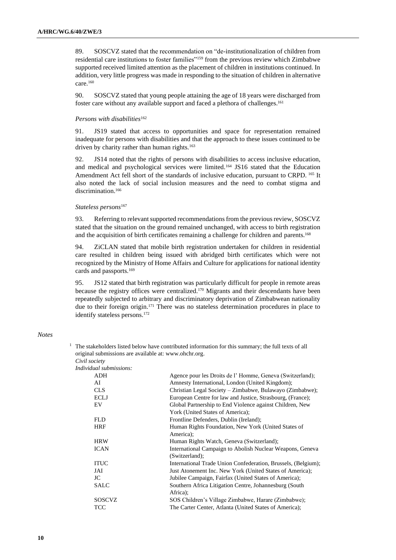89. SOSCVZ stated that the recommendation on "de-institutionalization of children from residential care institutions to foster families"<sup>159</sup> from the previous review which Zimbabwe supported received limited attention as the placement of children in institutions continued. In addition, very little progress was made in responding to the situation of children in alternative care.<sup>160</sup>

90. SOSCVZ stated that young people attaining the age of 18 years were discharged from foster care without any available support and faced a plethora of challenges. 161

#### *Persons with disabilities*<sup>162</sup>

91. JS19 stated that access to opportunities and space for representation remained inadequate for persons with disabilities and that the approach to these issues continued to be driven by charity rather than human rights.<sup>163</sup>

92. JS14 noted that the rights of persons with disabilities to access inclusive education, and medical and psychological services were limited.<sup>164</sup> JS16 stated that the Education Amendment Act fell short of the standards of inclusive education, pursuant to CRPD. <sup>165</sup> It also noted the lack of social inclusion measures and the need to combat stigma and discrimination. 166

### *Stateless persons*<sup>167</sup>

93. Referring to relevant supported recommendations from the previous review, SOSCVZ stated that the situation on the ground remained unchanged, with access to birth registration and the acquisition of birth certificates remaining a challenge for children and parents.<sup>168</sup>

94. ZiCLAN stated that mobile birth registration undertaken for children in residential care resulted in children being issued with abridged birth certificates which were not recognized by the Ministry of Home Affairs and Culture for applications for national identity cards and passports.<sup>169</sup>

95. JS12 stated that birth registration was particularly difficult for people in remote areas because the registry offices were centralized. <sup>170</sup> Migrants and their descendants have been repeatedly subjected to arbitrary and discriminatory deprivation of Zimbabwean nationality due to their foreign origin.<sup>171</sup> There was no stateless determination procedures in place to identify stateless persons.<sup>172</sup>

#### *Notes*

*Individual submitsions* 

| iviauai supmissions: |                                                               |
|----------------------|---------------------------------------------------------------|
| ADH                  | Agence pour les Droits de l'Homme, Geneva (Switzerland);      |
| AI                   | Amnesty International, London (United Kingdom);               |
| <b>CLS</b>           | Christian Legal Society – Zimbabwe, Bulawayo (Zimbabwe);      |
| <b>ECLJ</b>          | European Centre for law and Justice, Strasbourg, (France);    |
| EV                   | Global Partnership to End Violence against Children, New      |
|                      | York (United States of America);                              |
| <b>FLD</b>           | Frontline Defenders, Dublin (Ireland);                        |
| <b>HRF</b>           | Human Rights Foundation, New York (United States of           |
|                      | America);                                                     |
| <b>HRW</b>           | Human Rights Watch, Geneva (Switzerland);                     |
| <b>ICAN</b>          | International Campaign to Abolish Nuclear Weapons, Geneva     |
|                      | (Switzerland):                                                |
| <b>ITUC</b>          | International Trade Union Confederation, Brussels, (Belgium); |
| JAI                  | Just Atonement Inc. New York (United States of America);      |
| JC                   | Jubilee Campaign, Fairfax (United States of America);         |
| <b>SALC</b>          | Southern Africa Litigation Centre, Johannesburg (South)       |
|                      | Africa);                                                      |
| SOSCVZ               | SOS Children's Village Zimbabwe, Harare (Zimbabwe);           |
| TCC                  | The Carter Center, Atlanta (United States of America);        |
|                      |                                                               |

 $1$  The stakeholders listed below have contributed information for this summary; the full texts of all original submissions are available at: [www.ohchr.org.](http://www.ohchr.org/) *Civil society*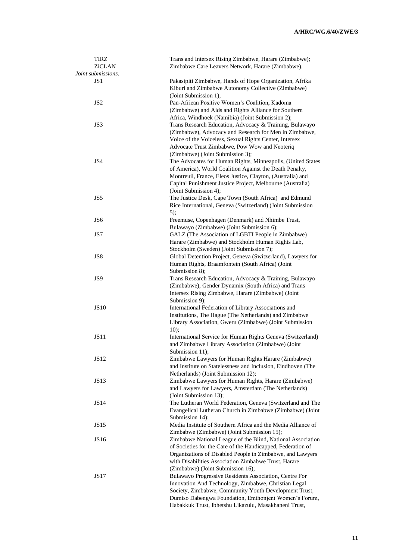| <b>TIRZ</b>        | Trans and Intersex Rising Zimbabwe, Harare (Zimbabwe);                                                                                                                      |
|--------------------|-----------------------------------------------------------------------------------------------------------------------------------------------------------------------------|
| ZiCLAN             | Zimbabwe Care Leavers Network, Harare (Zimbabwe).                                                                                                                           |
| Joint submissions: |                                                                                                                                                                             |
| JS1                | Pakasipiti Zimbabwe, Hands of Hope Organization, Afrika<br>Kiburi and Zimbabwe Autonomy Collective (Zimbabwe)<br>(Joint Submission 1);                                      |
| JS <sub>2</sub>    | Pan-African Positive Women's Coalition, Kadoma                                                                                                                              |
|                    | (Zimbabwe) and Aids and Rights Alliance for Southern                                                                                                                        |
|                    | Africa, Windhoek (Namibia) (Joint Submission 2);                                                                                                                            |
| JS3                | Trans Research Education, Advocacy & Training, Bulawayo<br>(Zimbabwe), Advocacy and Research for Men in Zimbabwe,<br>Voice of the Voiceless, Sexual Rights Center, Intersex |
|                    | Advocate Trust Zimbabwe, Pow Wow and Neoteriq                                                                                                                               |
|                    | (Zimbabwe) (Joint Submission 3);                                                                                                                                            |
| JS4                | The Advocates for Human Rights, Minneapolis, (United States                                                                                                                 |
|                    | of America), World Coalition Against the Death Penalty,                                                                                                                     |
|                    | Montreuil, France, Eleos Justice, Clayton, (Australia) and                                                                                                                  |
|                    | Capital Punishment Justice Project, Melbourne (Australia)                                                                                                                   |
|                    | (Joint Submission 4);                                                                                                                                                       |
| JS5                | The Justice Desk, Cape Town (South Africa) and Edmund                                                                                                                       |
|                    | Rice International, Geneva (Switzerland) (Joint Submission                                                                                                                  |
|                    | 5);                                                                                                                                                                         |
| JS6                | Freemuse, Copenhagen (Denmark) and Nhimbe Trust,                                                                                                                            |
|                    | Bulawayo (Zimbabwe) (Joint Submission 6);                                                                                                                                   |
| JS7                | GALZ (The Association of LGBTI People in Zimbabwe)                                                                                                                          |
|                    | Harare (Zimbabwe) and Stockholm Human Rights Lab,                                                                                                                           |
|                    | Stockholm (Sweden) (Joint Submission 7);                                                                                                                                    |
| JS8                | Global Detention Project, Geneva (Switzerland), Lawyers for                                                                                                                 |
|                    | Human Rights, Braamfontein (South Africa) (Joint                                                                                                                            |
|                    | Submission 8);                                                                                                                                                              |
| JS9                | Trans Research Education, Advocacy & Training, Bulawayo                                                                                                                     |
|                    | (Zimbabwe), Gender Dynamix (South Africa) and Trans                                                                                                                         |
|                    | Intersex Rising Zimbabwe, Harare (Zimbabwe) (Joint<br>Submission 9);                                                                                                        |
| <b>JS10</b>        | International Federation of Library Associations and                                                                                                                        |
|                    | Institutions, The Hague (The Netherlands) and Zimbabwe                                                                                                                      |
|                    | Library Association, Gweru (Zimbabwe) (Joint Submission                                                                                                                     |
|                    | 10);                                                                                                                                                                        |
| <b>JS11</b>        | International Service for Human Rights Geneva (Switzerland)                                                                                                                 |
|                    | and Zimbabwe Library Association (Zimbabwe) (Joint                                                                                                                          |
|                    | Submission 11);                                                                                                                                                             |
| JS12               | Zimbabwe Lawyers for Human Rights Harare (Zimbabwe)                                                                                                                         |
|                    | and Institute on Statelessness and Inclusion, Eindhoven (The                                                                                                                |
|                    | Netherlands) (Joint Submission 12);                                                                                                                                         |
| JS13               | Zimbabwe Lawyers for Human Rights, Harare (Zimbabwe)                                                                                                                        |
|                    | and Lawyers for Lawyers, Amsterdam (The Netherlands)                                                                                                                        |
|                    | (Joint Submission 13);                                                                                                                                                      |
| JS14               | The Lutheran World Federation, Geneva (Switzerland and The<br>Evangelical Lutheran Church in Zimbabwe (Zimbabwe) (Joint                                                     |
|                    | Submission 14);                                                                                                                                                             |
| JS15               | Media Institute of Southern Africa and the Media Alliance of                                                                                                                |
|                    | Zimbabwe (Zimbabwe) (Joint Submission 15);                                                                                                                                  |
| JS16               | Zimbabwe National League of the Blind, National Association                                                                                                                 |
|                    | of Societies for the Care of the Handicapped, Federation of                                                                                                                 |
|                    | Organizations of Disabled People in Zimbabwe, and Lawyers                                                                                                                   |
|                    | with Disabilities Association Zimbabwe Trust, Harare                                                                                                                        |
|                    | (Zimbabwe) (Joint Submission 16);                                                                                                                                           |
| JS17               | Bulawayo Progressive Residents Association, Centre For                                                                                                                      |
|                    | Innovation And Technology, Zimbabwe, Christian Legal                                                                                                                        |
|                    | Society, Zimbabwe, Community Youth Development Trust,                                                                                                                       |
|                    | Dumiso Dabengwa Foundation, Emthonjeni Women's Forum,                                                                                                                       |
|                    | Habakkuk Trust, Ibhetshu Likazulu, Masakhaneni Trust,                                                                                                                       |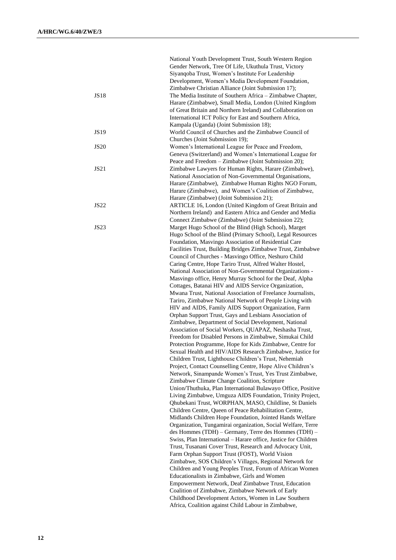|             | National Youth Development Trust, South Western Region          |
|-------------|-----------------------------------------------------------------|
|             | Gender Network, Tree Of Life, Ukuthula Trust, Victory           |
|             | Siyanqoba Trust, Women's Institute For Leadership               |
|             | Development, Women's Media Development Foundation,              |
|             | Zimbabwe Christian Alliance (Joint Submission 17);              |
| <b>JS18</b> | The Media Institute of Southern Africa - Zimbabwe Chapter,      |
|             | Harare (Zimbabwe), Small Media, London (United Kingdom          |
|             | of Great Britain and Northern Ireland) and Collaboration on     |
|             | International ICT Policy for East and Southern Africa,          |
|             | Kampala (Uganda) (Joint Submission 18);                         |
| JS19        | World Council of Churches and the Zimbabwe Council of           |
|             | Churches (Joint Submission 19);                                 |
| <b>JS20</b> | Women's International League for Peace and Freedom,             |
|             | Geneva (Switzerland) and Women's International League for       |
|             | Peace and Freedom - Zimbabwe (Joint Submission 20);             |
| <b>JS21</b> | Zimbabwe Lawyers for Human Rights, Harare (Zimbabwe),           |
|             | National Association of Non-Governmental Organisations,         |
|             | Harare (Zimbabwe), Zimbabwe Human Rights NGO Forum,             |
|             |                                                                 |
|             | Harare (Zimbabwe), and Women's Coalition of Zimbabwe,           |
|             | Harare (Zimbabwe) (Joint Submission 21);                        |
| JS22        | ARTICLE 16, London (United Kingdom of Great Britain and         |
|             | Northern Ireland) and Eastern Africa and Gender and Media       |
|             | Connect Zimbabwe (Zimbabwe) (Joint Submission 22);              |
| <b>JS23</b> | Marget Hugo School of the Blind (High School), Marget           |
|             | Hugo School of the Blind (Primary School), Legal Resources      |
|             | Foundation, Masvingo Association of Residential Care            |
|             | Facilities Trust, Building Bridges Zimbabwe Trust, Zimbabwe     |
|             | Council of Churches - Masvingo Office, Neshuro Child            |
|             | Caring Centre, Hope Tariro Trust, Alfred Walter Hostel,         |
|             | National Association of Non-Governmental Organizations -        |
|             | Masvingo office, Henry Murray School for the Deaf, Alpha        |
|             | Cottages, Batanai HIV and AIDS Service Organization,            |
|             | Mwana Trust, National Association of Freelance Journalists,     |
|             | Tariro, Zimbabwe National Network of People Living with         |
|             | HIV and AIDS, Family AIDS Support Organization, Farm            |
|             | Orphan Support Trust, Gays and Lesbians Association of          |
|             | Zimbabwe, Department of Social Development, National            |
|             | Association of Social Workers, QUAPAZ, Neshasha Trust,          |
|             | Freedom for Disabled Persons in Zimbabwe, Simukai Child         |
|             | Protection Programme, Hope for Kids Zimbabwe, Centre for        |
|             | Sexual Health and HIV/AIDS Research Zimbabwe, Justice for       |
|             | Children Trust, Lighthouse Children's Trust, Nehemiah           |
|             | Project, Contact Counselling Centre, Hope Alive Children's      |
|             | Network, Sinampande Women's Trust, Yes Trust Zimbabwe,          |
|             | Zimbabwe Climate Change Coalition, Scripture                    |
|             | Union/Thuthuka, Plan International Bulawayo Office, Positive    |
|             | Living Zimbabwe, Umguza AIDS Foundation, Trinity Project,       |
|             | Qhubekani Trust, WORPHAN, MASO, Childline, St Daniels           |
|             | Children Centre, Queen of Peace Rehabilitation Centre,          |
|             | Midlands Children Hope Foundation, Jointed Hands Welfare        |
|             | Organization, Tungamirai organization, Social Welfare, Terre    |
|             | des Hommes (TDH) – Germany, Terre des Hommes (TDH) –            |
|             | Swiss, Plan International - Harare office, Justice for Children |
|             | Trust, Tusanani Cover Trust, Research and Advocacy Unit,        |
|             | Farm Orphan Support Trust (FOST), World Vision                  |
|             | Zimbabwe, SOS Children's Villages, Regional Network for         |
|             | Children and Young Peoples Trust, Forum of African Women        |
|             | Educationalists in Zimbabwe, Girls and Women                    |
|             | Empowerment Network, Deaf Zimbabwe Trust, Education             |
|             |                                                                 |
|             | Coalition of Zimbabwe, Zimbabwe Network of Early                |
|             | Childhood Development Actors, Women in Law Southern             |
|             | Africa, Coalition against Child Labour in Zimbabwe,             |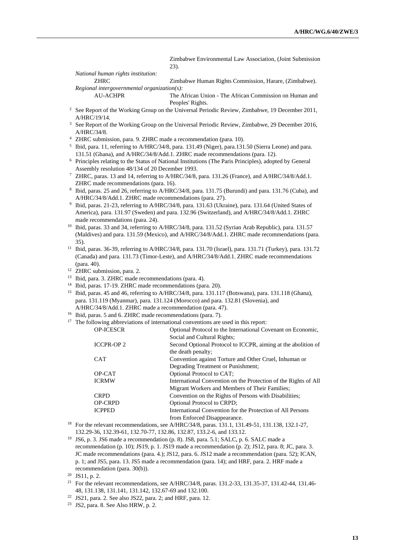Zimbabwe Environmental Law Association, (Joint Submission 23).

*National human rights institution:* ZHRC Zimbabwe Human Rights Commission, Harare, (Zimbabwe). *Regional intergovernmental organization(s):*

The African Union - The African Commission on Human and Peoples' Rights.

- <sup>2</sup> See Report of the Working Group on the Universal Periodic Review, Zimbabwe, 19 December 2011, A/HRC/19/14.
- <sup>3</sup> See Report of the Working Group on the Universal Periodic Review, Zimbabwe, 29 December 2016, A/HRC/34/8.
- <sup>4</sup> ZHRC submission, para. 9. ZHRC made a recommendation (para. 10).
- 5 Ibid, para. 11, referring to A/HRC/34/8, para. 131.49 (Niger), para.131.50 (Sierra Leone) and para. 131.51 (Ghana), and A/HRC/34/8/Add.1. ZHRC made recommendations (para. 12).
- <sup>6</sup> Principles relating to the Status of National Institutions (The Paris Principles), adopted by General Assembly resolution 48/134 of 20 December 1993.
- <sup>7</sup> ZHRC, paras. 13 and 14, referring to A/HRC/34/8, para. 131.26 (France), and A/HRC/34/8/Add.1. ZHRC made recommendations (para. 16).
- 8 Ibid, paras. 25 and 26, referring to A/HRC/34/8, para. 131.75 (Burundi) and para. 131.76 (Cuba), and A/HRC/34/8/Add.1. ZHRC made recommendations (para. 27).
- 9 Ibid, paras. 21-23, referring to A/HRC/34/8, para. 131.63 (Ukraine), para. 131.64 (United States of America), para. 131.97 (Sweden) and para. 132.96 (Switzerland), and A/HRC/34/8/Add.1. ZHRC made recommendations (para. 24).
- <sup>10</sup> Ibid, paras. 33 and 34, referring to A/HRC/34/8, para. 131.52 (Syrian Arab Republic), para. 131.57 (Maldives) and para. 131.59 (Mexico), and A/HRC/34/8/Add.1. ZHRC made recommendations (para. 35).
- <sup>11</sup> Ibid, paras. 36-39, referring to A/HRC/34/8, para. 131.70 (Israel), para. 131.71 (Turkey), para. 131.72 (Canada) and para. 131.73 (Timor-Leste), and A/HRC/34/8/Add.1. ZHRC made recommendations (para. 40).
- <sup>12</sup> ZHRC submission, para. 2.
- <sup>13</sup> Ibid, para. 3. ZHRC made recommendations (para. 4).
- <sup>14</sup> Ibid, paras. 17-19. ZHRC made recommendations (para. 20).
- <sup>15</sup> Ibid, paras. 45 and 46, referring to A/HRC/34/8, para. 131.117 (Botswana), para. 131.118 (Ghana), para. 131.119 (Myanmar), para. 131.124 (Morocco) and para. 132.81 (Slovenia), and A/HRC/34/8/Add.1. ZHRC made a recommendation (para. 47).
- <sup>16</sup> Ibid, paras. 5 and 6. ZHRC made recommendations (para. 7).
- $17$  The following abbreviations of international conventions are used in this report:

| <b>OP-ICESCR</b>  | Optional Protocol to the International Covenant on Economic,    |
|-------------------|-----------------------------------------------------------------|
|                   | Social and Cultural Rights;                                     |
| <b>ICCPR-OP 2</b> | Second Optional Protocol to ICCPR, aiming at the abolition of   |
|                   | the death penalty;                                              |
| <b>CAT</b>        | Convention against Torture and Other Cruel, Inhuman or          |
|                   | Degrading Treatment or Punishment;                              |
| OP-CAT            | Optional Protocol to CAT;                                       |
| <b>ICRMW</b>      | International Convention on the Protection of the Rights of All |
|                   | Migrant Workers and Members of Their Families;                  |
| <b>CRPD</b>       | Convention on the Rights of Persons with Disabilities;          |
| <b>OP-CRPD</b>    | Optional Protocol to CRPD;                                      |
| <b>ICPPED</b>     | International Convention for the Protection of All Persons      |
|                   | from Enforced Disappearance.                                    |

<sup>18</sup> For the relevant recommendations, see A/HRC/34/8, paras. 131.1, 131.49-51, 131.138, 132.1-27, 132.29-36, 132.39-61, 132.70-77, 132.86, 132.87, 133.2-6, and 133.12.

<sup>19</sup> JS6, p. 3. JS6 made a recommendation (p. 8). JS8, para. 5.1; SALC, p. 6. SALC made a recommendation (p. 10); JS19, p. 1. JS19 made a recommendation (p. 2); JS12, para. 8; JC, para. 3. JC made recommendations (para. 4.); JS12, para. 6. JS12 made a recommendation (para. 52); ICAN, p. 1; and JS5, para. 13. JS5 made a recommendation (para. 14); and HRF, para. 2. HRF made a recommendation (para. 30(b)).

- <sup>21</sup> For the relevant recommendations, see A/HRC/34/8, paras. 131.2-33, 131.35-37, 131.42-44, 131.46-48, 131.138, 131.141, 131.142, 132.67-69 and 132.100.
- <sup>22</sup> JS21, para. 2. See also JS22, para. 2; and HRF, para. 12.
- <sup>23</sup> JS2, para. 8. See Also HRW, p. 2.

<sup>20</sup> JS11, p. 2.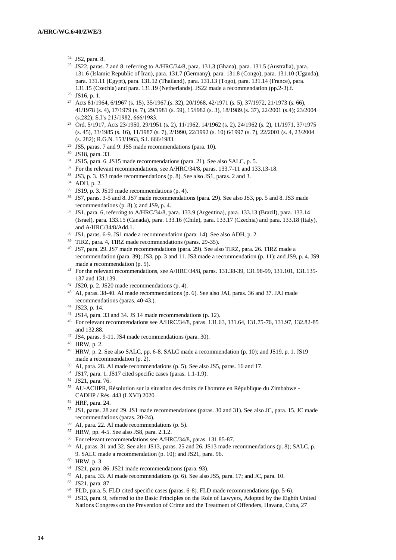- JS2, para. 8.
- JS22, paras. 7 and 8, referring to A/HRC/34/8, para. 131.3 (Ghana), para. 131.5 (Australia), para. 131.6 (Islamic Republic of Iran), para. 131.7 (Germany), para. 131.8 (Congo), para. 131.10 (Uganda), para. 131.11 (Egypt), para. 131.12 (Thailand), para. 131.13 (Togo), para. 131.14 (France), para. 131.15 (Czechia) and para. 131.19 (Netherlands). JS22 made a recommendation (pp.2-3).f.
- JS16, p. 1.
- <sup>27</sup> Acts 81/1964, 6/1967 (s. 15), 35/1967.(s. 32), 20/1968, 42/1971 (s. 5), 37/1972, 21/1973 (s. 66), 41/1978 (s. 4), 17/1979 (s. 7), 29/1981 (s. 59), 15/l982 (s. 3), 18/1989.(s. 37), 22/2001 (s.4); 23/2004 (s.282); S.I's 213/1982, 666/1983.
- Ord. 5/1917; Acts 23/1950, 29/1951 (s. 2), 11/1962, 14/1962 (s. 2), 24/1962 (s. 2), 11/1971, 37/1975 (s. 45), 33/1985 (s. 16), 11/1987 (s. 7), 2/1990, 22/1992 (s. 10) 6/1997 (s. 7), 22/2001 (s. 4, 23/2004 (s. 282); R.G.N. 153/1963, S.I. 666/1983.
- JS5, paras. 7 and 9. JS5 made recommendations (para. 10).
- JS18, para. 33.
- JS15, para. 6. JS15 made recommendations (para. 21). See also SALC, p. 5.
- <sup>32</sup> For the relevant recommendations, see A/HRC/34/8, paras. 133.7-11 and 133.13-18.
- JS3, p. 3. JS3 made recommendations (p. 8). See also JS1, paras. 2 and 3.
- ADH, p. 2.
- JS19, p. 3. JS19 made recommendations (p. 4).
- JS7, paras. 3-5 and 8. JS7 made recommendations (para. 29). See also JS3, pp. 5 and 8. JS3 made recommendations (p. 8).); and JS9, p. 4.
- JS1, para. 6, referring to A/HRC/34/8, para. 133.9 (Argentina), para. 133.13 (Brazil), para. 133.14 (Israel), para. 133.15 (Canada), para. 133.16 (Chile), para. 133.17 (Czechia) and para. 133.18 (Italy), and A/HRC/34/8/Add.1.
- JS1, paras. 6-9. JS1 made a recommendation (para. 14). See also ADH, p. 2.
- TIRZ, para. 4, TIRZ made recommendations (paras. 29-35).
- JS7, para. 29. JS7 made recommendations (para. 29). See also TIRZ, para. 26. TIRZ made a recommendation (para. 39); JS3, pp. 3 and 11. JS3 made a recommendation (p. 11); and JS9, p. 4. JS9 made a recommendation (p. 5).
- For the relevant recommendations, see A/HRC/34/8, paras. 131.38-39, 131.98-99, 131.101, 131.135- 137 and 131.139.
- JS20, p. 2. JS20 made recommendations (p. 4).
- AI, paras. 38-40. AI made recommendations (p. 6). See also JAI, paras. 36 and 37. JAI made recommendations (paras. 40-43.).
- JS23, p. 14.
- JS14, para. 33 and 34. JS 14 made recommendations (p. 12).
- For relevant recommendations see A/HRC/34/8, paras. 131.63, 131.64, 131.75-76, 131.97, 132.82-85 and 132.88.
- JS4, paras. 9-11. JS4 made recommendations (para. 30).
- HRW, p. 2.
- HRW, p. 2. See also SALC, pp. 6-8. SALC made a recommendation (p. 10); and JS19, p. 1. JS19 made a recommendation (p. 2).
- AI, para. 28. AI made recommendations (p. 5). See also JS5, paras. 16 and 17.
- JS17, para. 1. JS17 cited specific cases (paras. 1.1-1.9).
- JS21, para. 76.
- AU-ACHPR, Résolution sur la situation des droits de l'homme en République du Zimbabwe CADHP / Rés. 443 (LXVI) 2020.
- HRF, para. 24.
- JS1, paras. 28 and 29. JS1 made recommendations (paras. 30 and 31). See also JC, para. 15. JC made recommendations (paras. 20-24).
- AI, para. 22. AI made recommendations (p. 5).
- HRW, pp. 4-5. See also JS8, para. 2.1.2.
- For relevant recommendations see A/HRC/34/8, paras. 131.85-87.
- AI, paras. 31 and 32. See also JS13, paras. 25 and 26. JS13 made recommendations (p. 8); SALC, p. 9. SALC made a recommendation (p. 10); and JS21, para. 96.
- HRW, p. 3.
- JS21, para. 86. JS21 made recommendations (para. 93).
- AI, para. 33. AI made recommendations (p. 6). See also JS5, para. 17; and JC, para. 10.
- JS21, para. 87.
- FLD, para. 5. FLD cited specific cases (paras. 6-8). FLD made recommendations (pp. 5-6).
- JS13, para. 9, referred to the Basic Principles on the Role of Lawyers, Adopted by the Eighth United Nations Congress on the Prevention of Crime and the Treatment of Offenders, Havana, Cuba, 27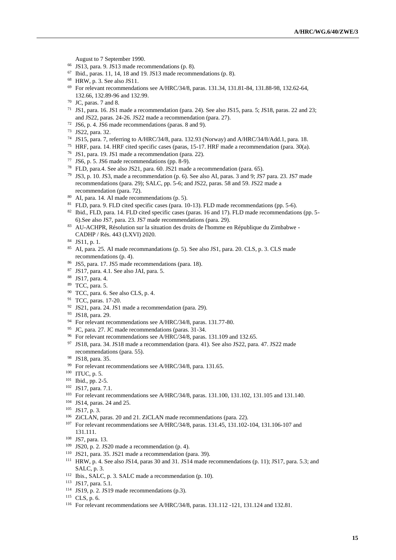August to 7 September 1990.

- JS13, para. 9. JS13 made recommendations (p. 8).
- Ibid., paras. 11, 14, 18 and 19. JS13 made recommendations (p. 8).
- HRW, p. 3. See also JS11.
- For relevant recommendations see A/HRC/34/8, paras. 131.34, 131.81-84, 131.88-98, 132.62-64, 132.66, 132.89-96 and 132.99.
- JC, paras. 7 and 8.

 JS1, para. 16. JS1 made a recommendation (para. 24). See also JS15, para. 5; JS18, paras. 22 and 23; and JS22, paras. 24-26. JS22 made a recommendation (para. 27).

- JS6, p. 4. JS6 made recommendations (paras. 8 and 9).
- JS22, para. 32.
- JS15, para. 7, referring to A/HRC/34/8, para. 132.93 (Norway) and A/HRC/34/8/Add.1, para. 18.
- HRF, para. 14. HRF cited specific cases (paras, 15-17. HRF made a recommendation (para. 30(a).
- JS1, para. 19. JS1 made a recommendation (para. 22).
- JS6, p. 5. JS6 made recommendations (pp. 8-9).
- FLD, para.4. See also JS21, para. 60. JS21 made a recommendation (para. 65).
- JS3, p. 10. JS3, made a recommendation (p. 6). See also AI, paras. 3 and 9; JS7 para. 23. JS7 made recommendations (para. 29); SALC, pp. 5-6; and JS22, paras. 58 and 59. JS22 made a recommendation (para. 72).
- AI, para. 14. AI made recommendations (p. 5).
- FLD, para. 9. FLD cited specific cases (para. 10-13). FLD made recommendations (pp. 5-6).
- 82 Ibid., FLD, para. 14. FLD cited specific cases (paras. 16 and 17). FLD made recommendations (pp. 5-6).See also JS7, para. 23. JS7 made recommendations (para. 29).
- AU-ACHPR, Résolution sur la situation des droits de l'homme en République du Zimbabwe CADHP / Rés. 443 (LXVI) 2020.
- JS11, p. 1.
- AI, para. 25. AI made recommandations (p. 5). See also JS1, para. 20. CLS, p. 3. CLS made recommendations (p. 4).
- JS5, para. 17. JS5 made recommendations (para. 18).
- JS17, para. 4.1. See also JAI, para. 5.
- JS17, para. 4.
- TCC, para. 5.
- TCC, para. 6. See also CLS, p. 4.
- TCC, paras. 17-20.
- JS21, para. 24. JS1 made a recommendation (para. 29).
- JS18, para. 29.
- <sup>94</sup> For relevant recommendations see A/HRC/34/8, paras. 131.77-80.
- JC, para. 27. JC made recommendations (paras. 31-34.
- <sup>96</sup> For relevant recommendations see A/HRC/34/8, paras. 131.109 and 132.65.
- JS18, para. 34. JS18 made a recommendation (para. 41). See also JS22, para. 47. JS22 made recommendations (para. 55).
- JS18, para. 35.
- <sup>99</sup> For relevant recommendations see A/HRC/34/8, para. 131.65.
- ITUC, p. 5.
- Ibid., pp. 2-5.
- JS17, para. 7.1.
- For relevant recommendations see A/HRC/34/8, paras. 131.100, 131.102, 131.105 and 131.140.
- JS14, paras. 24 and 25.
- JS17, p. 3.
- 106 ZiCLAN, paras. 20 and 21. ZiCLAN made recommendations (para. 22).
- For relevant recommendations see A/HRC/34/8, paras. 131.45, 131.102-104, 131.106-107 and 131.111.
- JS7, para. 13.
- JS20, p. 2. JS20 made a recommendation (p. 4).
- JS21, para. 35. JS21 made a recommendation (para. 39).
- HRW, p. 4. See also JS14, paras 30 and 31. JS14 made recommendations (p. 11); JS17, para. 5.3; and SALC, p. 3.
- Ibis., SALC, p. 3. SALC made a recommendation (p. 10).
- JS17, para. 5.1.
- JS19, p. 2. JS19 made recommendations (p.3).
- CLS, p. 6.
- For relevant recommendations see A/HRC/34/8, paras. 131.112 -121, 131.124 and 132.81.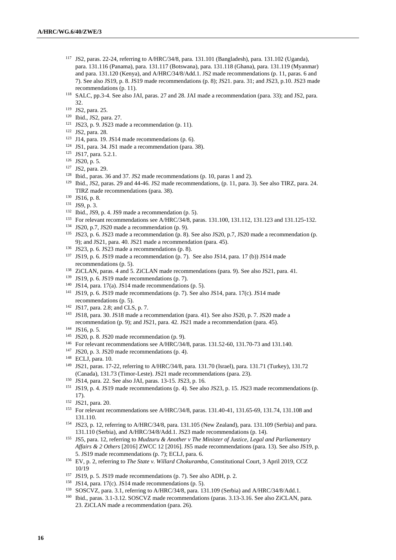- JS2, paras. 22-24, referring to A/HRC/34/8, para. 131.101 (Bangladesh), para. 131.102 (Uganda), para. 131.116 (Panama), para. 131.117 (Botswana), para. 131.118 (Ghana), para. 131.119 (Myanmar) and para. 131.120 (Kenya), and A/HRC/34/8/Add.1. JS2 made recommendations (p. 11, paras. 6 and 7). See also JS19, p. 8. JS19 made recommendations (p. 8); JS21. para. 31; and JS23, p.10. JS23 made recommendations (p. 11).
- SALC, pp.3-4. See also JAI, paras. 27 and 28. JAI made a recommendation (para. 33); and JS2, para. 32.

- Ibid., JS2, para. 27.
- JS23, p. 9. JS23 made a recommendation (p. 11).
- JS2, para. 28.
- J14, para. 19. JS14 made recommendations (p. 6).
- JS1, para. 34. JS1 made a recommendation (para. 38).
- JS17, para. 5.2.1.
- JS20, p. 5.
- JS2, para. 29.
- Ibid., paras. 36 and 37. JS2 made recommendations (p. 10, paras 1 and 2).
- Ibid., JS2, paras. 29 and 44-46. JS2 made recommendations, (p. 11, para. 3). See also TIRZ, para. 24. TIRZ made recommendations (para. 38).
- JS16, p. 8.
- JS9, p. 3.
- Ibid., JS9, p. 4. JS9 made a recommendation (p. 5).
- For relevant recommendations see A/HRC/34/8, paras. 131.100, 131.112, 131.123 and 131.125-132.
- JS20, p.7, JS20 made a recommendation (p. 9).
- JS23, p. 6. JS23 made a recommendation (p. 8). See also JS20, p.7, JS20 made a recommendation (p. 9); and JS21, para. 40. JS21 made a recommendation (para. 45).
- JS23, p. 6. JS23 made a recommendations (p. 8).
- JS19, p. 6. JS19 made a recommendation (p. 7). See also JS14, para. 17 (b)) JS14 made recommendations (p. 5).
- ZiCLAN, paras. 4 and 5. ZiCLAN made recommendations (para. 9). See also JS21, para. 41.
- JS19, p. 6. JS19 made recommendations (p. 7).
- <sup>140</sup> JS14, para. 17(a). JS14 made recommendations (p. 5).
- <sup>141</sup> JS19, p. 6. JS19 made recommendations (p. 7). See also JS14, para.  $17(c)$ . JS14 made recommendations (p. 5).
- JS17, para. 2.8; and CLS, p. 7.
- JS18, para. 30. JS18 made a recommendation (para. 41). See also JS20, p. 7. JS20 made a recommendation (p. 9); and JS21, para. 42. JS21 made a recommendation (para. 45).
- JS16, p. 5.
- JS20, p. 8. JS20 made recommendation (p. 9).
- For relevant recommendations see A/HRC/34/8, paras. 131.52-60, 131.70-73 and 131.140.
- JS20, p. 3. JS20 made recommendations (p. 4).
- ECLJ, para. 10.
- JS21, paras. 17-22, referring to A/HRC/34/8, para. 131.70 (Israel), para. 131.71 (Turkey), 131.72 (Canada), 131.73 (Timor-Leste). JS21 made recommendations (para. 23).
- JS14, para. 22. See also JAI, paras. 13-15. JS23, p. 16.
- JS19, p. 4. JS19 made recommendations (p. 4). See also JS23, p. 15. JS23 made recommendations (p. 17).

- For relevant recommendations see A/HRC/34/8, paras. 131.40-41, 131.65-69, 131.74, 131.108 and 131.110.
- JS23, p. 12, referring to A/HRC/34/8, para. 131.105 (New Zealand), para. 131.109 (Serbia) and para. 131.110 (Serbia), and A/HRC/34/8/Add.1. JS23 made recommendations (p. 14).
- JS5, para. 12, referring to *Mudzuru & Another v The Minister of Justice, Legal and Parliamentary Affairs & 2 Others* [2016] ZWCC 12 [2016]. JS5 made recommendations (para. 13). See also JS19, p. 5. JS19 made recommendations (p. 7); ECLJ, para. 6.
- EV, p. 2, referring to *The State v. Willard Chokuramba*, Constitutional Court, 3 April 2019, CCZ 10/19
- JS19, p. 5. JS19 made recommendations (p. 7). See also ADH, p. 2.
- JS14, para. 17(c). JS14 made recommendations (p. 5).
- SOSCVZ, para. 3.1, referring to A/HRC/34/8, para. 131.109 (Serbia) and A/HRC/34/8/Add.1.
- Ibid., paras. 3.1-3.12. SOSCVZ made recommendations (paras. 3.13-3.16. See also ZiCLAN, para. 23. ZiCLAN made a recommendation (para. 26).

JS2, para. 25.

JS21, para. 20.